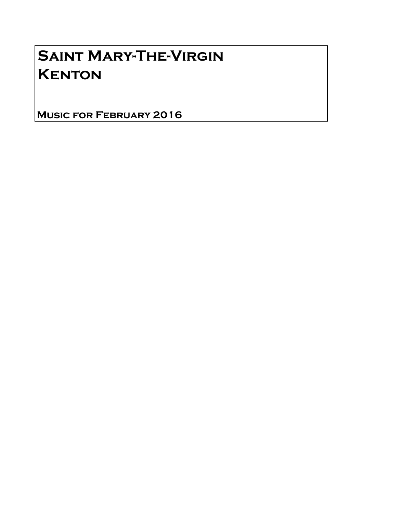# Saint Mary-The-Virgin **KENTON**

Music for February 2016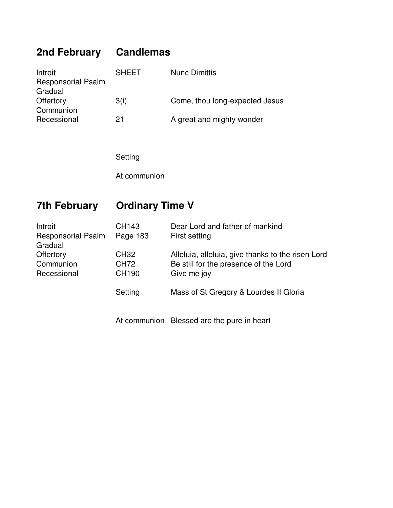### **2nd February Candlemas**

| <b>SHEET</b> | <b>Nunc Dimittis</b>           |
|--------------|--------------------------------|
|              |                                |
|              |                                |
| 3(i)         | Come, thou long-expected Jesus |
|              |                                |
| 21           | A great and mighty wonder      |
|              |                                |

Setting

At communion

## **7th February Ordinary Time V**

| Introit                   | CH143        | Dear Lord and father of mankind                   |
|---------------------------|--------------|---------------------------------------------------|
| <b>Responsorial Psalm</b> | Page 183     | First setting                                     |
| Gradual                   |              |                                                   |
| Offertory                 | <b>CH32</b>  | Alleluia, alleluia, give thanks to the risen Lord |
| Communion                 | CH72         | Be still for the presence of the Lord             |
| Recessional               | <b>CH190</b> | Give me joy                                       |
|                           | Setting      | Mass of St Gregory & Lourdes II Gloria            |

At communion Blessed are the pure in heart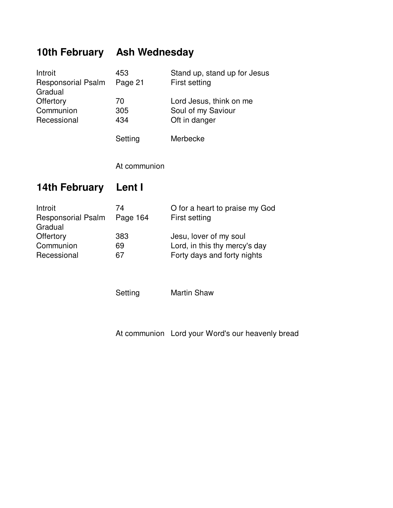### **10th February Ash Wednesday**

| Introit                   | 453     | Stand up, stand up for Jesus |
|---------------------------|---------|------------------------------|
| <b>Responsorial Psalm</b> | Page 21 | First setting                |
| Gradual                   |         |                              |
| Offertory                 | 70      | Lord Jesus, think on me      |
| Communion                 | 305     | Soul of my Saviour           |
| Recessional               | 434     | Oft in danger                |
|                           | Setting | Merbecke                     |

At communion

### **14th February Lent I**

| 74       | O for a heart to praise my God |
|----------|--------------------------------|
| Page 164 | First setting                  |
|          |                                |
| 383      | Jesu, lover of my soul         |
| 69       | Lord, in this thy mercy's day  |
| 67       | Forty days and forty nights    |
|          |                                |

Setting **Martin Shaw** 

At communion Lord your Word's our heavenly bread